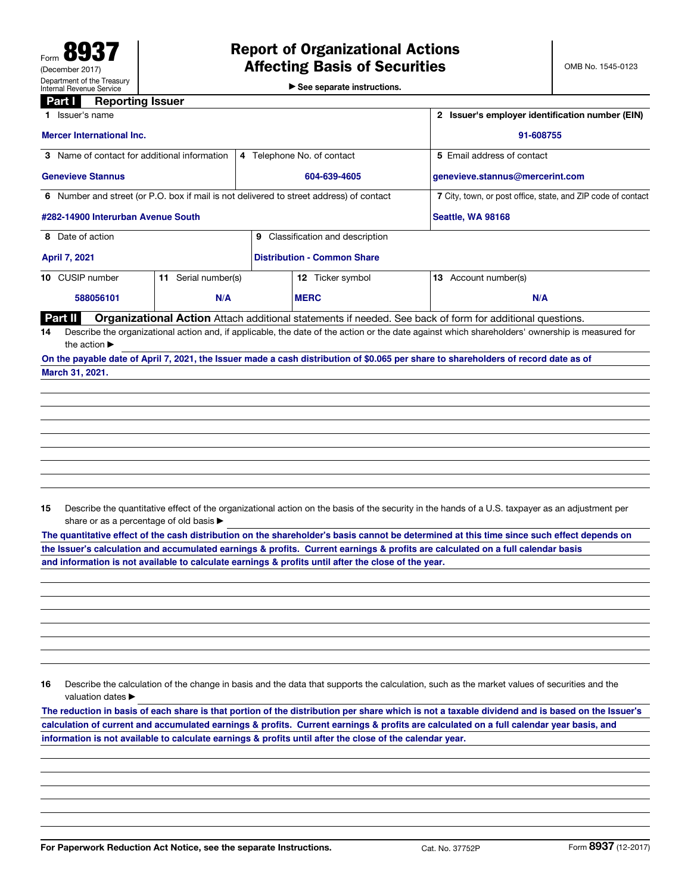▶ See separate instructions.

## **Part I** Reporting Issuer

| Issuer's name                                                                                                                       | Issuer's employer identification number (EIN) |                                                                                                                                                 |  |  |
|-------------------------------------------------------------------------------------------------------------------------------------|-----------------------------------------------|-------------------------------------------------------------------------------------------------------------------------------------------------|--|--|
| <b>Mercer International Inc.</b>                                                                                                    | 91-608755                                     |                                                                                                                                                 |  |  |
| <b>3</b> Name of contact for additional information                                                                                 | 4 Telephone No. of contact                    | 5 Email address of contact                                                                                                                      |  |  |
| <b>Genevieve Stannus</b>                                                                                                            | 604-639-4605                                  | genevieve.stannus@mercerint.com                                                                                                                 |  |  |
| 6 Number and street (or P.O. box if mail is not delivered to street address) of contact                                             |                                               | 7 City, town, or post office, state, and ZIP code of contact                                                                                    |  |  |
| #282-14900 Interurban Avenue South                                                                                                  |                                               | Seattle, WA 98168                                                                                                                               |  |  |
| 8 Date of action                                                                                                                    | Classification and description<br>9           |                                                                                                                                                 |  |  |
| <b>April 7, 2021</b>                                                                                                                | <b>Distribution - Common Share</b>            |                                                                                                                                                 |  |  |
| 10 CUSIP number<br>Serial number(s)<br>11                                                                                           | 12 Ticker symbol                              | <b>13</b> Account number(s)                                                                                                                     |  |  |
| 588056101<br>N/A                                                                                                                    | <b>MERC</b>                                   | N/A                                                                                                                                             |  |  |
| Part II                                                                                                                             |                                               | <b>Organizational Action</b> Attach additional statements if needed. See back of form for additional questions.                                 |  |  |
| 14<br>the action $\blacktriangleright$                                                                                              |                                               | Describe the organizational action and, if applicable, the date of the action or the date against which shareholders' ownership is measured for |  |  |
| On the payable date of April 7, 2021, the Issuer made a cash distribution of \$0.065 per share to shareholders of record date as of |                                               |                                                                                                                                                 |  |  |

**March 31, 2021.**

15 Describe the quantitative effect of the organizational action on the basis of the security in the hands of a U.S. taxpayer as an adjustment per share or as a percentage of old basis  $\blacktriangleright$ 

**The quantitative effect of the cash distribution on the shareholder's basis cannot be determined at this time since such effect depends on the Issuer's calculation and accumulated earnings & profits. Current earnings & profits are calculated on a full calendar basis and information is not available to calculate earnings & profits until after the close of the year.** 

16 Describe the calculation of the change in basis and the data that supports the calculation, such as the market values of securities and the valuation dates ▶

**The reduction in basis of each share is that portion of the distribution per share which is not a taxable dividend and is based on the Issuer's calculation of current and accumulated earnings & profits. Current earnings & profits are calculated on a full calendar year basis, and information is not available to calculate earnings & profits until after the close of the calendar year.**